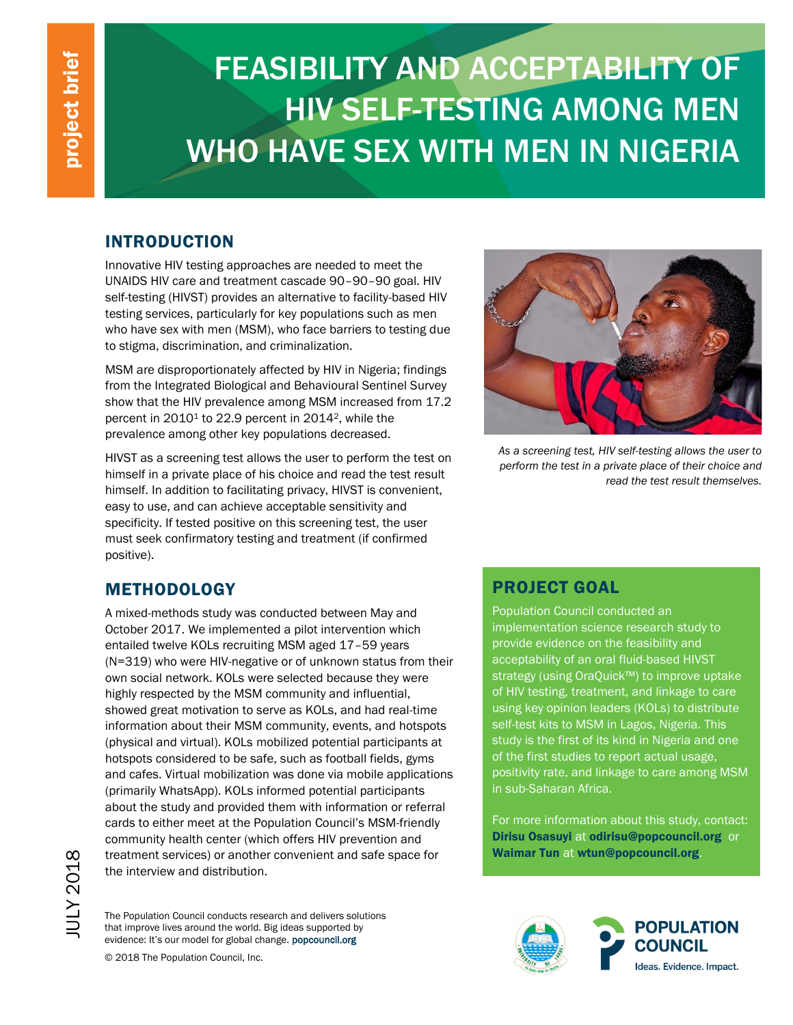# FEASIBILITY AND ACCEPTABILITY OF HIV SELF-TESTING AMONG MEN WHO HAVE SEX WITH MEN IN NIGERIA

## INTRODUCTION

Innovative HIV testing approaches are needed to meet the UNAIDS HIV care and treatment cascade 90–90–90 goal. HIV self-testing (HIVST) provides an alternative to facility-based HIV testing services, particularly for key populations such as men who have sex with men (MSM), who face barriers to testing due to stigma, discrimination, and criminalization.

MSM are disproportionately affected by HIV in Nigeria; findings from the Integrated Biological and Behavioural Sentinel Survey show that the HIV prevalence among MSM increased from 17.2 percent in 2010<sup>1</sup> to 22.9 percent in 2014<sup>2</sup>, while the prevalence among other key populations decreased.

HIVST as a screening test allows the user to perform the test on himself in a private place of his choice and read the test result himself. In addition to facilitating privacy, HIVST is convenient, easy to use, and can achieve acceptable sensitivity and specificity. If tested positive on this screening test, the user must seek confirmatory testing and treatment (if confirmed positive).



*As a screening test, HIV self-testing allows the user to perform the test in a private place of their choice and read the test result themselves.* 

# METHODOLOGY

A mixed-methods study was conducted between May and October 2017. We implemented a pilot intervention which entailed twelve KOLs recruiting MSM aged 17–59 years (N=319) who were HIV-negative or of unknown status from their own social network. KOLs were selected because they were highly respected by the MSM community and influential, showed great motivation to serve as KOLs, and had real-time information about their MSM community, events, and hotspots (physical and virtual). KOLs mobilized potential participants at hotspots considered to be safe, such as football fields, gyms and cafes. Virtual mobilization was done via mobile applications (primarily WhatsApp). KOLs informed potential participants about the study and provided them with information or referral cards to either meet at the Population Council's MSM-friendly community health center (which offers HIV prevention and treatment services) or another convenient and safe space for the interview and distribution.

The Population Council conducts research and delivers solutions that improve lives around the world. Big ideas supported by evidence: It's our model for global change. popcouncil.org

© 2018 The Population Council, Inc.

#### PROJECT GOAL

Population Council conducted an implementation science research study to provide evidence on the feasibility and acceptability of an oral fluid-based HIVST strategy (using OraQuick™) to improve uptake of HIV testing, treatment, and linkage to care using key opinion leaders (KOLs) to distribute self-test kits to MSM in Lagos, Nigeria. This study is the first of its kind in Nigeria and one of the first studies to report actual usage, positivity rate, and linkage to care among MSM in sub-Saharan Africa.

For more information about this study, contact: Dirisu Osasuyi at [odirisu@popcouncil.org](mailto:odirisu@popcouncil.org) or Waimar Tun at [wtun@popcouncil.org](file:///C:/Users/shutchinson/AppData/Local/Microsoft/Windows/INetCache/Content.Outlook/FOX1953D/wtun@popcouncil.org).